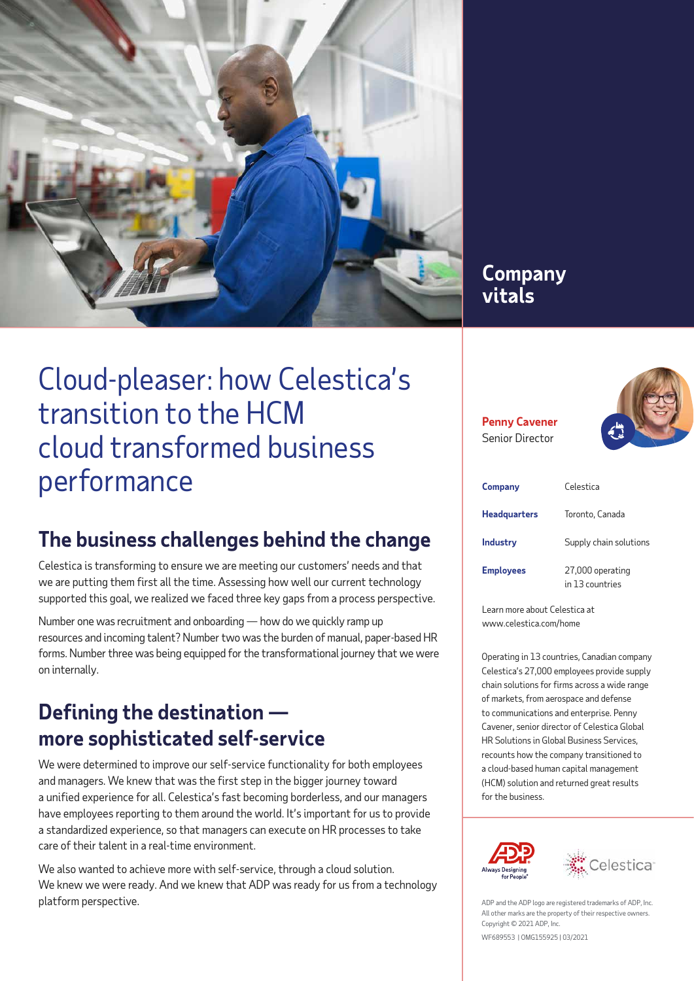

### **Company vitals**

**Penny Cavener**  Senior Director



### **The business challenges behind the change**

Celestica is transforming to ensure we are meeting our customers' needs and that we are putting them first all the time. Assessing how well our current technology supported this goal, we realized we faced three key gaps from a process perspective.

Number one was recruitment and onboarding — how do we quickly ramp up resources and incoming talent? Number two was the burden of manual, paper-based HR forms. Number three was being equipped for the transformational journey that we were on internally.

## **Defining the destination more sophisticated self-service**

We were determined to improve our self-service functionality for both employees and managers. We knew that was the first step in the bigger journey toward a unified experience for all. Celestica's fast becoming borderless, and our managers have employees reporting to them around the world. It's important for us to provide a standardized experience, so that managers can execute on HR processes to take care of their talent in a real-time environment.

We also wanted to achieve more with self-service, through a cloud solution. We knew we were ready. And we knew that ADP was ready for us from a technology platform perspective.

| Company             | Celestica                           |
|---------------------|-------------------------------------|
| <b>Headquarters</b> | Toronto, Canada                     |
| Industry            | Supply chain solutions              |
| <b>Employees</b>    | 27,000 operating<br>in 13 countries |

Learn more about Celestica at www.celestica.com/home

Operating in 13 countries, Canadian company Celestica's 27,000 employees provide supply chain solutions for firms across a wide range of markets, from aerospace and defense to communications and enterprise. Penny Cavener, senior director of Celestica Global HR Solutions in Global Business Services, recounts how the company transitioned to a cloud-based human capital management (HCM) solution and returned great results for the business.





ADP and the ADP logo are registered trademarks of ADP, Inc. All other marks are the property of their respective owners. Copyright © 2021 ADP, Inc.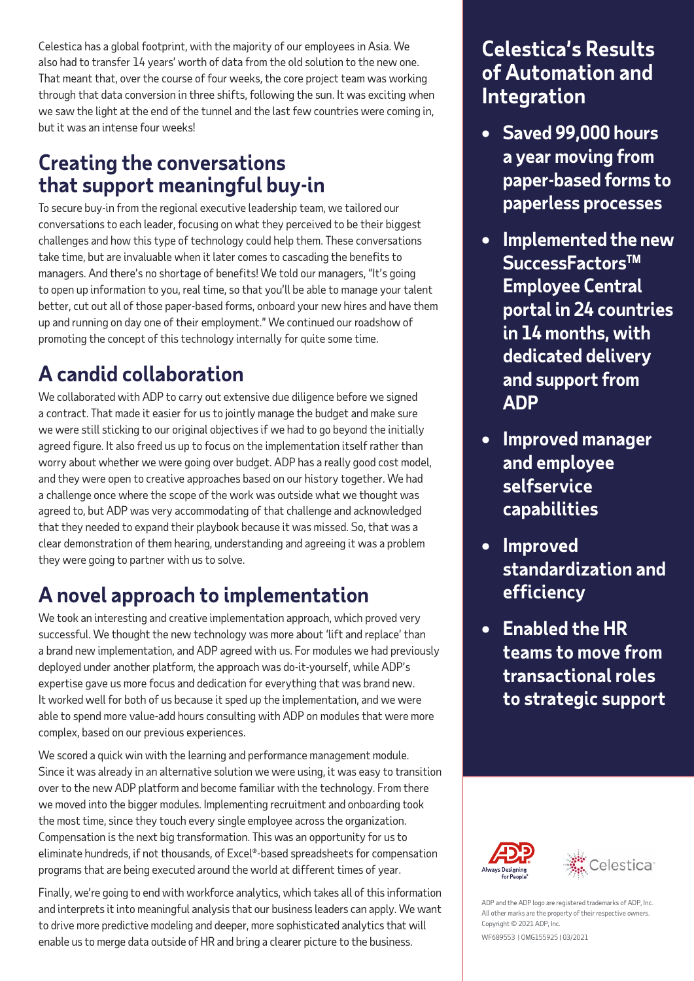Celestica has a global footprint, with the majority of our employees in Asia. We also had to transfer 14 years' worth of data from the old solution to the new one. That meant that, over the course of four weeks, the core project team was working through that data conversion in three shifts, following the sun. It was exciting when we saw the light at the end of the tunnel and the last few countries were coming in, but it was an intense four weeks!

### **Creating the conversations that support meaningful buy-in**

To secure buy-in from the regional executive leadership team, we tailored our conversations to each leader, focusing on what they perceived to be their biggest challenges and how this type of technology could help them. These conversations take time, but are invaluable when it later comes to cascading the benefits to managers. And there's no shortage of benefits! We told our managers, "It's going to open up information to you, real time, so that you'll be able to manage your talent better, cut out all of those paper-based forms, onboard your new hires and have them up and running on day one of their employment." We continued our roadshow of promoting the concept of this technology internally for quite some time.

# **A candid collaboration**

We collaborated with ADP to carry out extensive due diligence before we signed a contract. That made it easier for us to jointly manage the budget and make sure we were still sticking to our original objectives if we had to go beyond the initially agreed figure. It also freed us up to focus on the implementation itself rather than worry about whether we were going over budget. ADP has a really good cost model, and they were open to creative approaches based on our history together. We had a challenge once where the scope of the work was outside what we thought was agreed to, but ADP was very accommodating of that challenge and acknowledged that they needed to expand their playbook because it was missed. So, that was a clear demonstration of them hearing, understanding and agreeing it was a problem they were going to partner with us to solve.

## **A novel approach to implementation**

We took an interesting and creative implementation approach, which proved very successful. We thought the new technology was more about 'lift and replace' than a brand new implementation, and ADP agreed with us. For modules we had previously deployed under another platform, the approach was do-it-yourself, while ADP's expertise gave us more focus and dedication for everything that was brand new. It worked well for both of us because it sped up the implementation, and we were able to spend more value-add hours consulting with ADP on modules that were more complex, based on our previous experiences.

We scored a quick win with the learning and performance management module. Since it was already in an alternative solution we were using, it was easy to transition over to the new ADP platform and become familiar with the technology. From there we moved into the bigger modules. Implementing recruitment and onboarding took the most time, since they touch every single employee across the organization. Compensation is the next big transformation. This was an opportunity for us to eliminate hundreds, if not thousands, of Excel®-based spreadsheets for compensation programs that are being executed around the world at different times of year.

Finally, we're going to end with workforce analytics, which takes all of this information and interprets it into meaningful analysis that our business leaders can apply. We want to drive more predictive modeling and deeper, more sophisticated analytics that will enable us to merge data outside of HR and bring a clearer picture to the business.

### **Celestica's Results of Automation and Integration**

- **• Saved 99,000 hours a year moving from paper-based forms to paperless processes**
- **• Implemented the new SuccessFactorsTM Employee Central portal in 24 countries in 14 months, with dedicated delivery and support from ADP**
- **• Improved manager and employee selfservice capabilities**
- **• Improved standardization and efficiency**
- **• Enabled the HR teams to move from transactional roles to strategic support**





ADP and the ADP logo are registered trademarks of ADP, Inc. All other marks are the property of their respective owners. Copyright © 2021 ADP, Inc.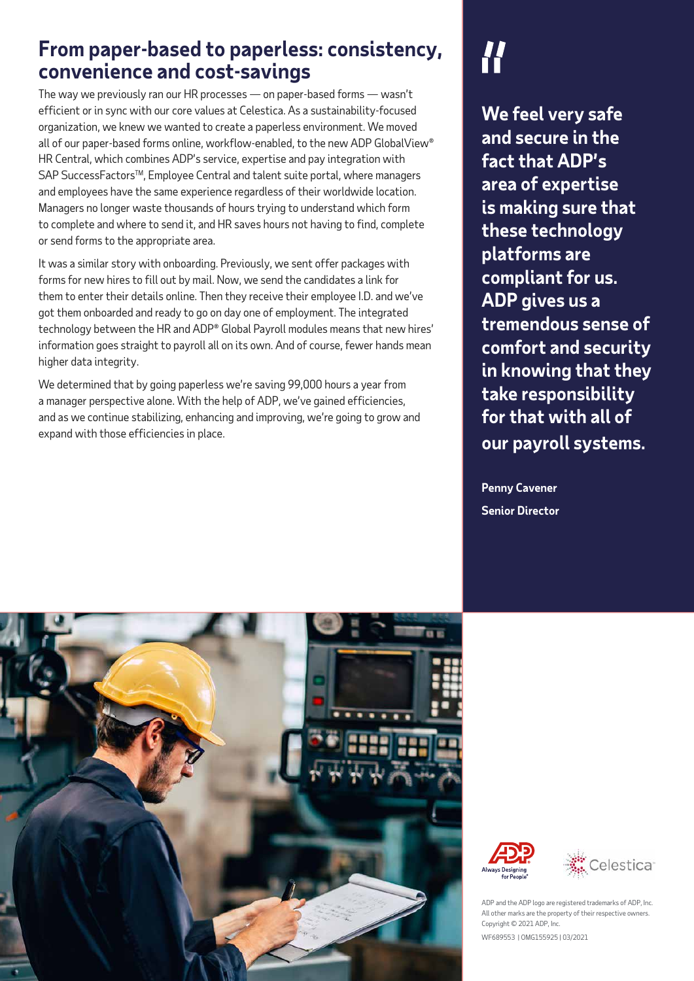### **From paper-based to paperless: consistency, convenience and cost-savings**

The way we previously ran our HR processes — on paper-based forms — wasn't efficient or in sync with our core values at Celestica. As a sustainability-focused organization, we knew we wanted to create a paperless environment. We moved all of our paper-based forms online, workflow-enabled, to the new ADP GlobalView® HR Central, which combines ADP's service, expertise and pay integration with SAP SuccessFactors<sup>™</sup>, Employee Central and talent suite portal, where managers and employees have the same experience regardless of their worldwide location. Managers no longer waste thousands of hours trying to understand which form to complete and where to send it, and HR saves hours not having to find, complete or send forms to the appropriate area.

It was a similar story with onboarding. Previously, we sent offer packages with forms for new hires to fill out by mail. Now, we send the candidates a link for them to enter their details online. Then they receive their employee I.D. and we've got them onboarded and ready to go on day one of employment. The integrated technology between the HR and ADP® Global Payroll modules means that new hires' information goes straight to payroll all on its own. And of course, fewer hands mean higher data integrity.

We determined that by going paperless we're saving 99,000 hours a year from a manager perspective alone. With the help of ADP, we've gained efficiencies, and as we continue stabilizing, enhancing and improving, we're going to grow and expand with those efficiencies in place.

**We feel very safe and secure in the fact that ADP's area of expertise is making sure that these technology platforms are compliant for us. ADP gives us a tremendous sense of comfort and security in knowing that they take responsibility for that with all of our payroll systems.**

**Penny Cavener Senior Director**







ADP and the ADP logo are registered trademarks of ADP, Inc. All other marks are the property of their respective owners. Copyright © 2021 ADP, Inc.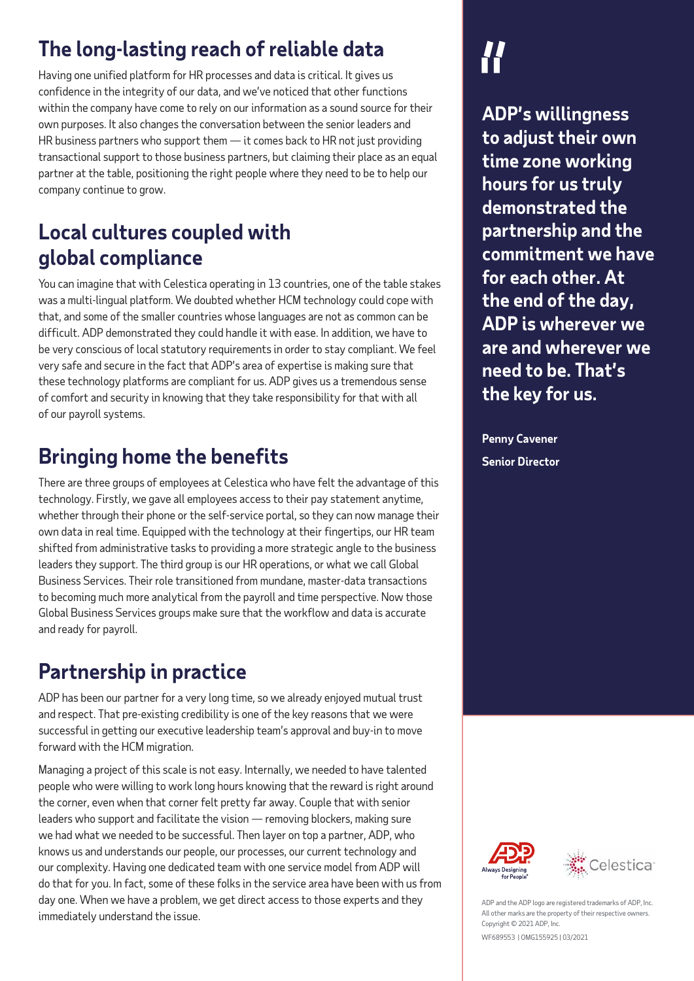# **The long-lasting reach of reliable data**

Having one unified platform for HR processes and data is critical. It gives us confidence in the integrity of our data, and we've noticed that other functions within the company have come to rely on our information as a sound source for their own purposes. It also changes the conversation between the senior leaders and HR business partners who support them — it comes back to HR not just providing transactional support to those business partners, but claiming their place as an equal partner at the table, positioning the right people where they need to be to help our company continue to grow.

## **Local cultures coupled with global compliance**

You can imagine that with Celestica operating in 13 countries, one of the table stakes was a multi-lingual platform. We doubted whether HCM technology could cope with that, and some of the smaller countries whose languages are not as common can be difficult. ADP demonstrated they could handle it with ease. In addition, we have to be very conscious of local statutory requirements in order to stay compliant. We feel very safe and secure in the fact that ADP's area of expertise is making sure that these technology platforms are compliant for us. ADP gives us a tremendous sense of comfort and security in knowing that they take responsibility for that with all of our payroll systems.

## **Bringing home the benefits**

There are three groups of employees at Celestica who have felt the advantage of this technology. Firstly, we gave all employees access to their pay statement anytime, whether through their phone or the self-service portal, so they can now manage their own data in real time. Equipped with the technology at their fingertips, our HR team shifted from administrative tasks to providing a more strategic angle to the business leaders they support. The third group is our HR operations, or what we call Global Business Services. Their role transitioned from mundane, master-data transactions to becoming much more analytical from the payroll and time perspective. Now those Global Business Services groups make sure that the workflow and data is accurate and ready for payroll.

# **Partnership in practice**

ADP has been our partner for a very long time, so we already enjoyed mutual trust and respect. That pre-existing credibility is one of the key reasons that we were successful in getting our executive leadership team's approval and buy-in to move forward with the HCM migration.

Managing a project of this scale is not easy. Internally, we needed to have talented people who were willing to work long hours knowing that the reward is right around the corner, even when that corner felt pretty far away. Couple that with senior leaders who support and facilitate the vision — removing blockers, making sure we had what we needed to be successful. Then layer on top a partner, ADP, who knows us and understands our people, our processes, our current technology and our complexity. Having one dedicated team with one service model from ADP will do that for you. In fact, some of these folks in the service area have been with us from day one. When we have a problem, we get direct access to those experts and they immediately understand the issue.

**ADP's willingness to adjust their own time zone working hours for us truly demonstrated the partnership and the commitment we have for each other. At the end of the day, ADP is wherever we are and wherever we need to be. That's the key for us.**

**Penny Cavener Senior Director**





ADP and the ADP logo are registered trademarks of ADP, Inc. All other marks are the property of their respective owners. Copyright © 2021 ADP, Inc.